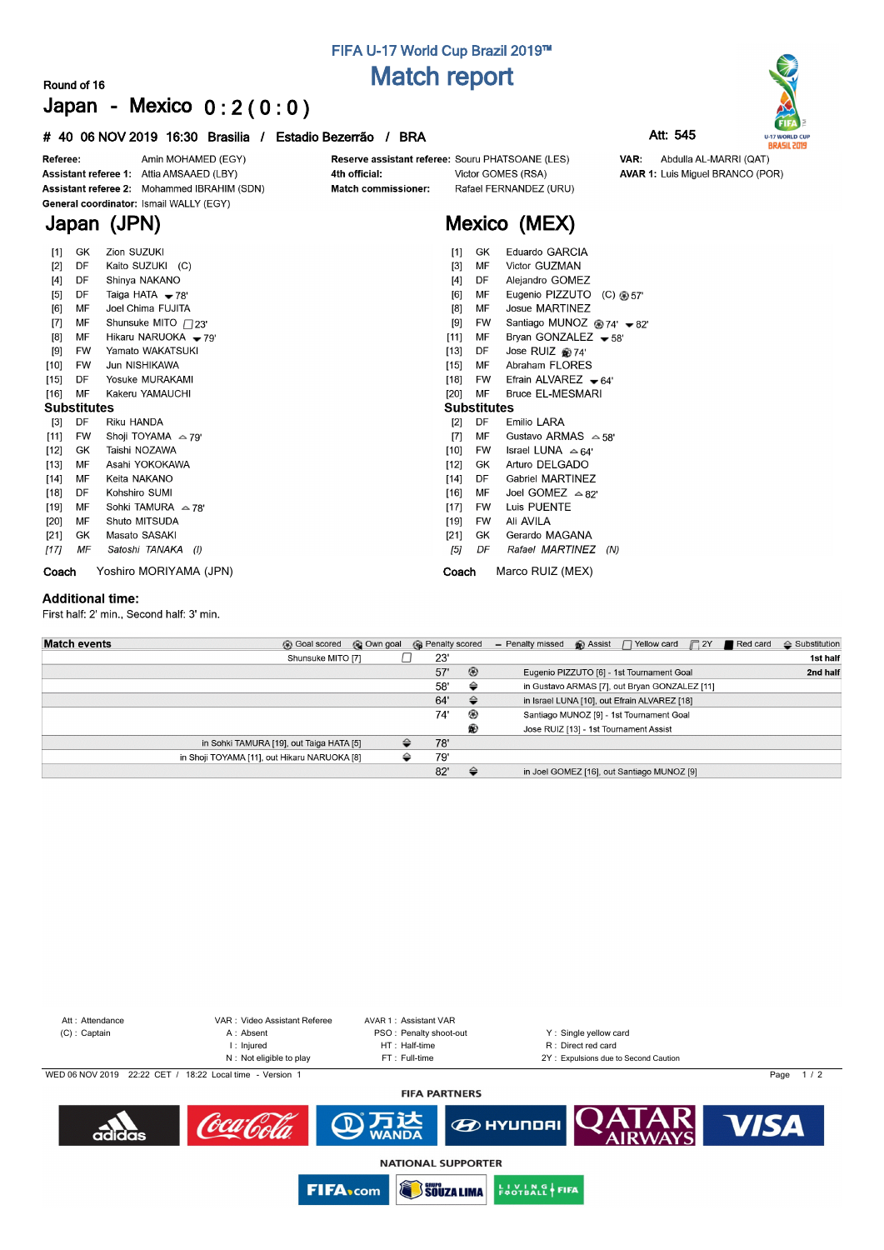# **FIFA U-17 World Cup Brazil 2019™ Match report**

### **Round of 16 Japan - Mexico 0 : 2 ( 0 : 0 )**

### **# 40 06 NOV 2019 16:30 Brasilia / Estadio Bezerrão / BRA Att: 545**



| $[1]$              | GK        | Zion SUZUKI                | Eduardo GARCIA<br>$[1]$<br>GK                                        |
|--------------------|-----------|----------------------------|----------------------------------------------------------------------|
| $[2]$              | DF        | Kaito SUZUKI (C)           | Victor GUZMAN<br>МF<br>$[3]$                                         |
| $[4]$              | DF        | Shinya NAKANO              | $[4]$<br>DF<br>Alejandro GOMEZ                                       |
| [5]                | DF        | Taiga HATA $-78'$          | Eugenio PIZZUTO<br>[6]<br>MF<br>(C) @ 57'                            |
| [6]                | MF        | Joel Chima FUJITA          | <b>Josue MARTINEZ</b><br>MF<br>[8]                                   |
| $[7]$              | МF        | Shunsuke MITO $\Box$ 23'   | Santiago MUNOZ <sup>@</sup> 74' <del>▼</del> 82'<br>[9]<br><b>FW</b> |
| [8]                | MF        | Hikaru NARUOKA - 79'       | $[11]$<br>Bryan GONZALEZ $-58'$<br>МF                                |
| $[9]$              | <b>FW</b> | Yamato WAKATSUKI           | $[13]$<br>Jose RUIZ @74'<br>DF                                       |
| $[10]$             | <b>FW</b> | Jun NISHIKAWA              | Abraham FLORES<br>[15]<br>MF                                         |
| $[15]$             | DF        | Yosuke MURAKAMI            | $[18]$<br>Efrain ALVAREZ $\bullet$ 64'<br><b>FW</b>                  |
| $[16]$             | MF        | Kakeru YAMAUCHI            | $[20]$<br>MF<br><b>Bruce EL-MESMARI</b>                              |
| <b>Substitutes</b> |           |                            | <b>Substitutes</b>                                                   |
| $[3]$              | DF        | Riku HANDA                 | [2]<br>DF<br>Emilio LARA                                             |
| $[11]$             | <b>FW</b> | Shoji TOYAMA $\approx$ 79' | Gustavo ARMAS $\sim$ 58'<br>MF<br>[7]                                |
| $[12]$             | GK.       | Taishi NOZAWA              | Israel LUNA $\approx$ 64'<br>[10]<br><b>FW</b>                       |
| $[13]$             | MF        | Asahi YOKOKAWA             | Arturo DELGADO<br>$[12]$<br>GK                                       |
| $[14]$             | MF        | Keita NAKANO               | Gabriel MARTINEZ<br>[14]<br>DF                                       |
| $[18]$             | DF        | Kohshiro SUMI              | Joel GOMEZ $\approx 82^\circ$<br>[16]<br>ΜF                          |
| $[19]$             | МF        | Sohki TAMURA $\approx$ 78' | Luis PUENTE<br>[17]<br><b>FW</b>                                     |
| [20]               | MF        | Shuto MITSUDA              | Ali AVILA<br>$[19]$<br>FW                                            |
| $[21]$             | GK        | Masato SASAKI              | Gerardo MAGANA<br>[21]<br>GK                                         |
| [17]               | ΜF        | Satoshi TANAKA (I)         | [5]<br>DF<br>Rafael MARTINEZ<br>(N)                                  |
| Coach              |           | Yoshiro MORIYAMA (JPN)     | Marco RUIZ (MEX)<br>Coach                                            |

#### **Additional time:**

First half: 2' min., Second half: 3' min.

| <b>Match events</b>                          | <b>B</b> Goal scored | © Own goal | <b>B</b> Penalty scored |     |                | - Penalty missed | $\bigcirc$ Assist $\bigcap$ Yellow card $\bigcap$ 2Y | Red card | $\triangle$ Substitution |
|----------------------------------------------|----------------------|------------|-------------------------|-----|----------------|------------------|------------------------------------------------------|----------|--------------------------|
|                                              | Shunsuke MITO [7]    |            |                         | 23' |                |                  |                                                      |          | 1st half                 |
|                                              |                      |            |                         | 57' | $\circledcirc$ |                  | Eugenio PIZZUTO [6] - 1st Tournament Goal            |          | 2nd half                 |
|                                              |                      |            |                         | 58' | ⇔              |                  | in Gustavo ARMAS [7], out Bryan GONZALEZ [11]        |          |                          |
|                                              |                      |            |                         | 64' | $\triangle$    |                  | in Israel LUNA [10], out Efrain ALVAREZ [18]         |          |                          |
|                                              |                      |            |                         | 74' | ⊛              |                  | Santiago MUNOZ [9] - 1st Tournament Goal             |          |                          |
|                                              |                      |            |                         |     | ®              |                  | Jose RUIZ [13] - 1st Tournament Assist               |          |                          |
| in Sohki TAMURA [19], out Taiga HATA [5]     |                      |            | ≙                       | 78' |                |                  |                                                      |          |                          |
| in Shoji TOYAMA [11], out Hikaru NARUOKA [8] |                      |            | ⇔                       | 79' |                |                  |                                                      |          |                          |
|                                              |                      |            |                         | 82' | $\triangle$    |                  | in Joel GOMEZ [16], out Santiago MUNOZ [9]           |          |                          |



Att : Attendance VAR : Video Assistant Referee AVAR 1 : Assistant VAR<br>
(C) : Captain A : Absent A : Absent PSO : Penalty shoot-